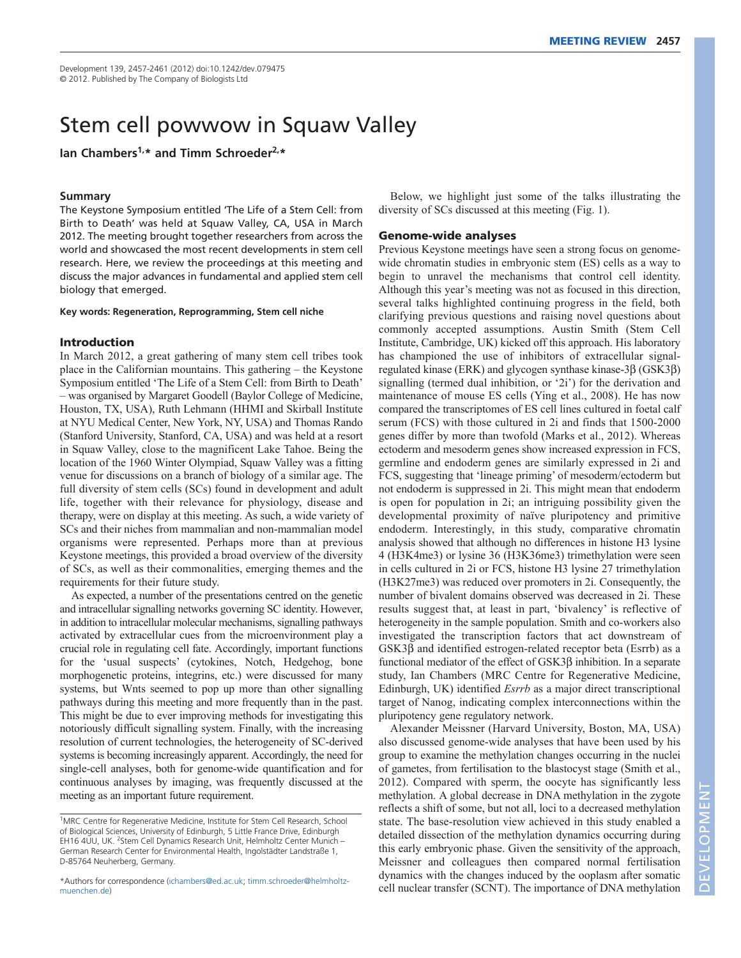# Stem cell powwow in Squaw Valley

**Ian Chambers1,\* and Timm Schroeder2,\***

#### **Summary**

The Keystone Symposium entitled 'The Life of a Stem Cell: from Birth to Death' was held at Squaw Valley, CA, USA in March 2012. The meeting brought together researchers from across the world and showcased the most recent developments in stem cell research. Here, we review the proceedings at this meeting and discuss the major advances in fundamental and applied stem cell biology that emerged.

**Key words: Regeneration, Reprogramming, Stem cell niche**

## **Introduction**

In March 2012, a great gathering of many stem cell tribes took place in the Californian mountains. This gathering – the Keystone Symposium entitled 'The Life of a Stem Cell: from Birth to Death' – was organised by Margaret Goodell (Baylor College of Medicine, Houston, TX, USA), Ruth Lehmann (HHMI and Skirball Institute at NYU Medical Center, New York, NY, USA) and Thomas Rando (Stanford University, Stanford, CA, USA) and was held at a resort in Squaw Valley, close to the magnificent Lake Tahoe. Being the location of the 1960 Winter Olympiad, Squaw Valley was a fitting venue for discussions on a branch of biology of a similar age. The full diversity of stem cells (SCs) found in development and adult life, together with their relevance for physiology, disease and therapy, were on display at this meeting. As such, a wide variety of SCs and their niches from mammalian and non-mammalian model organisms were represented. Perhaps more than at previous Keystone meetings, this provided a broad overview of the diversity of SCs, as well as their commonalities, emerging themes and the requirements for their future study.

As expected, a number of the presentations centred on the genetic and intracellular signalling networks governing SC identity. However, in addition to intracellular molecular mechanisms, signalling pathways activated by extracellular cues from the microenvironment play a crucial role in regulating cell fate. Accordingly, important functions for the 'usual suspects' (cytokines, Notch, Hedgehog, bone morphogenetic proteins, integrins, etc.) were discussed for many systems, but Wnts seemed to pop up more than other signalling pathways during this meeting and more frequently than in the past. This might be due to ever improving methods for investigating this notoriously difficult signalling system. Finally, with the increasing resolution of current technologies, the heterogeneity of SC-derived systems is becoming increasingly apparent. Accordingly, the need for single-cell analyses, both for genome-wide quantification and for continuous analyses by imaging, was frequently discussed at the meeting as an important future requirement.

Below, we highlight just some of the talks illustrating the diversity of SCs discussed at this meeting (Fig. 1).

## **Genome-wide analyses**

Previous Keystone meetings have seen a strong focus on genomewide chromatin studies in embryonic stem (ES) cells as a way to begin to unravel the mechanisms that control cell identity. Although this year's meeting was not as focused in this direction, several talks highlighted continuing progress in the field, both clarifying previous questions and raising novel questions about commonly accepted assumptions. Austin Smith (Stem Cell Institute, Cambridge, UK) kicked off this approach. His laboratory has championed the use of inhibitors of extracellular signalregulated kinase (ERK) and glycogen synthase kinase- $3\beta$  (GSK $3\beta$ ) signalling (termed dual inhibition, or '2i') for the derivation and maintenance of mouse ES cells (Ying et al., 2008). He has now compared the transcriptomes of ES cell lines cultured in foetal calf serum (FCS) with those cultured in 2i and finds that 1500-2000 genes differ by more than twofold (Marks et al., 2012). Whereas ectoderm and mesoderm genes show increased expression in FCS, germline and endoderm genes are similarly expressed in 2i and FCS, suggesting that 'lineage priming' of mesoderm/ectoderm but not endoderm is suppressed in 2i. This might mean that endoderm is open for population in 2i; an intriguing possibility given the developmental proximity of naïve pluripotency and primitive endoderm. Interestingly, in this study, comparative chromatin analysis showed that although no differences in histone H3 lysine 4 (H3K4me3) or lysine 36 (H3K36me3) trimethylation were seen in cells cultured in 2i or FCS, histone H3 lysine 27 trimethylation (H3K27me3) was reduced over promoters in 2i. Consequently, the number of bivalent domains observed was decreased in 2i. These results suggest that, at least in part, 'bivalency' is reflective of heterogeneity in the sample population. Smith and co-workers also investigated the transcription factors that act downstream of  $GSK3\beta$  and identified estrogen-related receptor beta (Esrrb) as a functional mediator of the effect of  $GSK3\beta$  inhibition. In a separate study, Ian Chambers (MRC Centre for Regenerative Medicine, Edinburgh, UK) identified *Esrrb* as a major direct transcriptional target of Nanog, indicating complex interconnections within the pluripotency gene regulatory network.

Alexander Meissner (Harvard University, Boston, MA, USA) also discussed genome-wide analyses that have been used by his group to examine the methylation changes occurring in the nuclei of gametes, from fertilisation to the blastocyst stage (Smith et al., 2012). Compared with sperm, the oocyte has significantly less methylation. A global decrease in DNA methylation in the zygote reflects a shift of some, but not all, loci to a decreased methylation state. The base-resolution view achieved in this study enabled a detailed dissection of the methylation dynamics occurring during this early embryonic phase. Given the sensitivity of the approach, Meissner and colleagues then compared normal fertilisation dynamics with the changes induced by the ooplasm after somatic cell nuclear transfer (SCNT). The importance of DNA methylation

<sup>&</sup>lt;sup>1</sup>MRC Centre for Regenerative Medicine, Institute for Stem Cell Research, School of Biological Sciences, University of Edinburgh, 5 Little France Drive, Edinburgh EH16 4UU, UK. <sup>2</sup>Stem Cell Dynamics Research Unit, Helmholtz Center Munich – German Research Center for Environmental Health, Ingolstädter Landstraße 1, D-85764 Neuherberg, Germany.

<sup>\*</sup>Authors for correspondence (ichambers@ed.ac.uk; timm.schroeder@helmholtzmuenchen.de)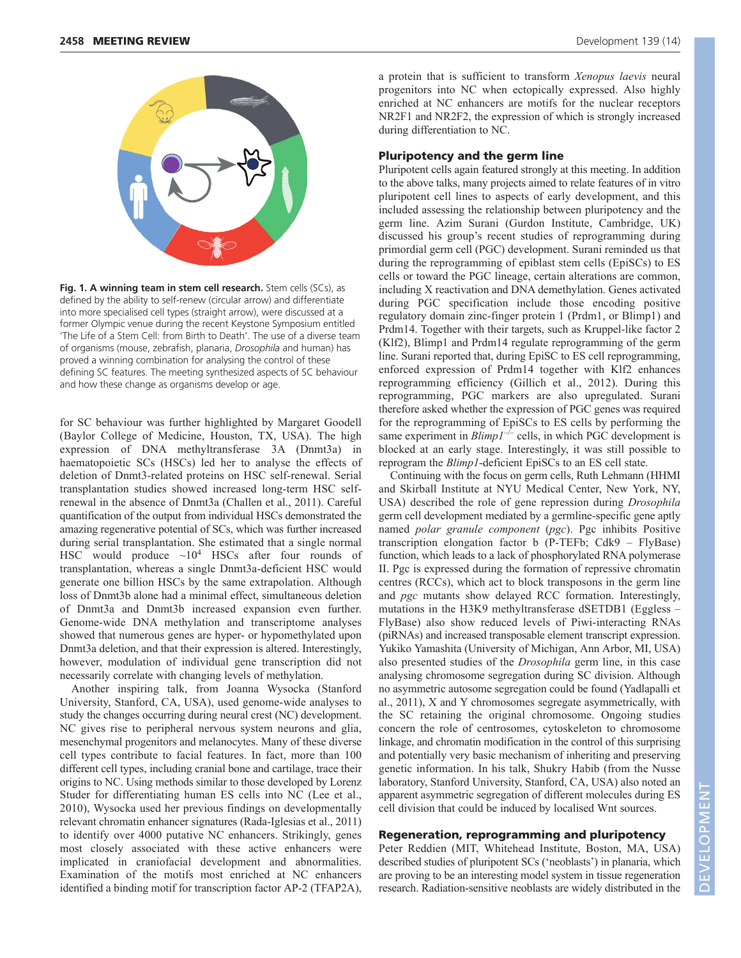

**Fig. 1. A winning team in stem cell research.** Stem cells (SCs), as defined by the ability to self-renew (circular arrow) and differentiate into more specialised cell types (straight arrow), were discussed at a former Olympic venue during the recent Keystone Symposium entitled 'The Life of a Stem Cell: from Birth to Death'. The use of a diverse team of organisms (mouse, zebrafish, planaria, *Drosophila* and human) has proved a winning combination for analysing the control of these defining SC features. The meeting synthesized aspects of SC behaviour and how these change as organisms develop or age.

for SC behaviour was further highlighted by Margaret Goodell (Baylor College of Medicine, Houston, TX, USA). The high expression of DNA methyltransferase 3A (Dnmt3a) in haematopoietic SCs (HSCs) led her to analyse the effects of deletion of Dnmt3-related proteins on HSC self-renewal. Serial transplantation studies showed increased long-term HSC selfrenewal in the absence of Dnmt3a (Challen et al., 2011). Careful quantification of the output from individual HSCs demonstrated the amazing regenerative potential of SCs, which was further increased during serial transplantation. She estimated that a single normal HSC would produce  $\sim 10^4$  HSCs after four rounds of transplantation, whereas a single Dnmt3a-deficient HSC would generate one billion HSCs by the same extrapolation. Although loss of Dnmt3b alone had a minimal effect, simultaneous deletion of Dnmt3a and Dnmt3b increased expansion even further. Genome-wide DNA methylation and transcriptome analyses showed that numerous genes are hyper- or hypomethylated upon Dnmt3a deletion, and that their expression is altered. Interestingly, however, modulation of individual gene transcription did not necessarily correlate with changing levels of methylation.

Another inspiring talk, from Joanna Wysocka (Stanford University, Stanford, CA, USA), used genome-wide analyses to study the changes occurring during neural crest (NC) development. NC gives rise to peripheral nervous system neurons and glia, mesenchymal progenitors and melanocytes. Many of these diverse cell types contribute to facial features. In fact, more than 100 different cell types, including cranial bone and cartilage, trace their origins to NC. Using methods similar to those developed by Lorenz Studer for differentiating human ES cells into NC (Lee et al., 2010), Wysocka used her previous findings on developmentally relevant chromatin enhancer signatures (Rada-Iglesias et al., 2011) to identify over 4000 putative NC enhancers. Strikingly, genes most closely associated with these active enhancers were implicated in craniofacial development and abnormalities. Examination of the motifs most enriched at NC enhancers identified a binding motif for transcription factor AP-2 (TFAP2A), a protein that is sufficient to transform *Xenopus laevis* neural progenitors into NC when ectopically expressed. Also highly enriched at NC enhancers are motifs for the nuclear receptors NR2F1 and NR2F2, the expression of which is strongly increased during differentiation to NC.

### **Pluripotency and the germ line**

Pluripotent cells again featured strongly at this meeting. In addition to the above talks, many projects aimed to relate features of in vitro pluripotent cell lines to aspects of early development, and this included assessing the relationship between pluripotency and the germ line. Azim Surani (Gurdon Institute, Cambridge, UK) discussed his group's recent studies of reprogramming during primordial germ cell (PGC) development. Surani reminded us that during the reprogramming of epiblast stem cells (EpiSCs) to ES cells or toward the PGC lineage, certain alterations are common, including X reactivation and DNA demethylation. Genes activated during PGC specification include those encoding positive regulatory domain zinc-finger protein 1 (Prdm1, or Blimp1) and Prdm14. Together with their targets, such as Kruppel-like factor 2 (Klf2), Blimp1 and Prdm14 regulate reprogramming of the germ line. Surani reported that, during EpiSC to ES cell reprogramming, enforced expression of Prdm14 together with Klf2 enhances reprogramming efficiency (Gillich et al., 2012). During this reprogramming, PGC markers are also upregulated. Surani therefore asked whether the expression of PGC genes was required for the reprogramming of EpiSCs to ES cells by performing the same experiment in  $Blimp1^{-/-}$  cells, in which PGC development is blocked at an early stage. Interestingly, it was still possible to reprogram the *Blimp1*-deficient EpiSCs to an ES cell state.

Continuing with the focus on germ cells, Ruth Lehmann (HHMI and Skirball Institute at NYU Medical Center, New York, NY, USA) described the role of gene repression during *Drosophila* germ cell development mediated by a germline-specific gene aptly named *polar granule component* (*pgc*). Pgc inhibits Positive transcription elongation factor b (P-TEFb; Cdk9 – FlyBase) function, which leads to a lack of phosphorylated RNA polymerase II. Pgc is expressed during the formation of repressive chromatin centres (RCCs), which act to block transposons in the germ line and *pgc* mutants show delayed RCC formation. Interestingly, mutations in the H3K9 methyltransferase dSETDB1 (Eggless – FlyBase) also show reduced levels of Piwi-interacting RNAs (piRNAs) and increased transposable element transcript expression. Yukiko Yamashita (University of Michigan, Ann Arbor, MI, USA) also presented studies of the *Drosophila* germ line, in this case analysing chromosome segregation during SC division. Although no asymmetric autosome segregation could be found (Yadlapalli et al., 2011), X and Y chromosomes segregate asymmetrically, with the SC retaining the original chromosome. Ongoing studies concern the role of centrosomes, cytoskeleton to chromosome linkage, and chromatin modification in the control of this surprising and potentially very basic mechanism of inheriting and preserving genetic information. In his talk, Shukry Habib (from the Nusse laboratory, Stanford University, Stanford, CA, USA) also noted an apparent asymmetric segregation of different molecules during ES cell division that could be induced by localised Wnt sources.

#### **Regeneration, reprogramming and pluripotency**

Peter Reddien (MIT, Whitehead Institute, Boston, MA, USA) described studies of pluripotent SCs ('neoblasts') in planaria, which are proving to be an interesting model system in tissue regeneration research. Radiation-sensitive neoblasts are widely distributed in the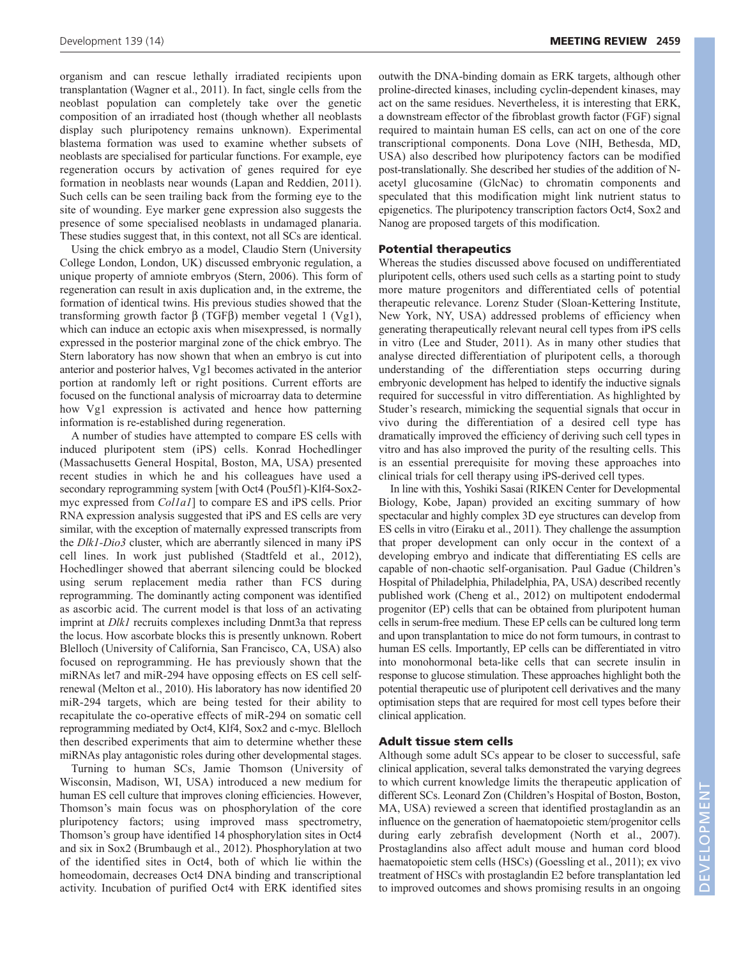organism and can rescue lethally irradiated recipients upon transplantation (Wagner et al., 2011). In fact, single cells from the neoblast population can completely take over the genetic composition of an irradiated host (though whether all neoblasts display such pluripotency remains unknown). Experimental blastema formation was used to examine whether subsets of neoblasts are specialised for particular functions. For example, eye regeneration occurs by activation of genes required for eye formation in neoblasts near wounds (Lapan and Reddien, 2011). Such cells can be seen trailing back from the forming eye to the site of wounding. Eye marker gene expression also suggests the presence of some specialised neoblasts in undamaged planaria. These studies suggest that, in this context, not all SCs are identical.

Using the chick embryo as a model, Claudio Stern (University College London, London, UK) discussed embryonic regulation, a unique property of amniote embryos (Stern, 2006). This form of regeneration can result in axis duplication and, in the extreme, the formation of identical twins. His previous studies showed that the transforming growth factor  $\beta$  (TGF $\beta$ ) member vegetal 1 (Vg1), which can induce an ectopic axis when misexpressed, is normally expressed in the posterior marginal zone of the chick embryo. The Stern laboratory has now shown that when an embryo is cut into anterior and posterior halves, Vg1 becomes activated in the anterior portion at randomly left or right positions. Current efforts are focused on the functional analysis of microarray data to determine how Vg1 expression is activated and hence how patterning information is re-established during regeneration.

A number of studies have attempted to compare ES cells with induced pluripotent stem (iPS) cells. Konrad Hochedlinger (Massachusetts General Hospital, Boston, MA, USA) presented recent studies in which he and his colleagues have used a secondary reprogramming system [with Oct4 (Pou5f1)-Klf4-Sox2 myc expressed from *Col1a1*] to compare ES and iPS cells. Prior RNA expression analysis suggested that iPS and ES cells are very similar, with the exception of maternally expressed transcripts from the *Dlk1-Dio3* cluster, which are aberrantly silenced in many iPS cell lines. In work just published (Stadtfeld et al., 2012), Hochedlinger showed that aberrant silencing could be blocked using serum replacement media rather than FCS during reprogramming. The dominantly acting component was identified as ascorbic acid. The current model is that loss of an activating imprint at *Dlk1* recruits complexes including Dnmt3a that repress the locus. How ascorbate blocks this is presently unknown. Robert Blelloch (University of California, San Francisco, CA, USA) also focused on reprogramming. He has previously shown that the miRNAs let7 and miR-294 have opposing effects on ES cell selfrenewal (Melton et al., 2010). His laboratory has now identified 20 miR-294 targets, which are being tested for their ability to recapitulate the co-operative effects of miR-294 on somatic cell reprogramming mediated by Oct4, Klf4, Sox2 and c-myc. Blelloch then described experiments that aim to determine whether these miRNAs play antagonistic roles during other developmental stages.

Turning to human SCs, Jamie Thomson (University of Wisconsin, Madison, WI, USA) introduced a new medium for human ES cell culture that improves cloning efficiencies. However, Thomson's main focus was on phosphorylation of the core pluripotency factors; using improved mass spectrometry, Thomson's group have identified 14 phosphorylation sites in Oct4 and six in Sox2 (Brumbaugh et al., 2012). Phosphorylation at two of the identified sites in Oct4, both of which lie within the homeodomain, decreases Oct4 DNA binding and transcriptional activity. Incubation of purified Oct4 with ERK identified sites outwith the DNA-binding domain as ERK targets, although other proline-directed kinases, including cyclin-dependent kinases, may act on the same residues. Nevertheless, it is interesting that ERK, a downstream effector of the fibroblast growth factor (FGF) signal required to maintain human ES cells, can act on one of the core transcriptional components. Dona Love (NIH, Bethesda, MD, USA) also described how pluripotency factors can be modified post-translationally. She described her studies of the addition of Nacetyl glucosamine (GlcNac) to chromatin components and speculated that this modification might link nutrient status to epigenetics. The pluripotency transcription factors Oct4, Sox2 and Nanog are proposed targets of this modification.

## **Potential therapeutics**

Whereas the studies discussed above focused on undifferentiated pluripotent cells, others used such cells as a starting point to study more mature progenitors and differentiated cells of potential therapeutic relevance. Lorenz Studer (Sloan-Kettering Institute, New York, NY, USA) addressed problems of efficiency when generating therapeutically relevant neural cell types from iPS cells in vitro (Lee and Studer, 2011). As in many other studies that analyse directed differentiation of pluripotent cells, a thorough understanding of the differentiation steps occurring during embryonic development has helped to identify the inductive signals required for successful in vitro differentiation. As highlighted by Studer's research, mimicking the sequential signals that occur in vivo during the differentiation of a desired cell type has dramatically improved the efficiency of deriving such cell types in vitro and has also improved the purity of the resulting cells. This is an essential prerequisite for moving these approaches into clinical trials for cell therapy using iPS-derived cell types.

In line with this, Yoshiki Sasai (RIKEN Center for Developmental Biology, Kobe, Japan) provided an exciting summary of how spectacular and highly complex 3D eye structures can develop from ES cells in vitro (Eiraku et al., 2011). They challenge the assumption that proper development can only occur in the context of a developing embryo and indicate that differentiating ES cells are capable of non-chaotic self-organisation. Paul Gadue (Children's Hospital of Philadelphia, Philadelphia, PA, USA) described recently published work (Cheng et al., 2012) on multipotent endodermal progenitor (EP) cells that can be obtained from pluripotent human cells in serum-free medium. These EP cells can be cultured long term and upon transplantation to mice do not form tumours, in contrast to human ES cells. Importantly, EP cells can be differentiated in vitro into monohormonal beta-like cells that can secrete insulin in response to glucose stimulation. These approaches highlight both the potential therapeutic use of pluripotent cell derivatives and the many optimisation steps that are required for most cell types before their clinical application.

## **Adult tissue stem cells**

Although some adult SCs appear to be closer to successful, safe clinical application, several talks demonstrated the varying degrees to which current knowledge limits the therapeutic application of different SCs. Leonard Zon (Children's Hospital of Boston, Boston, MA, USA) reviewed a screen that identified prostaglandin as an influence on the generation of haematopoietic stem/progenitor cells during early zebrafish development (North et al., 2007). Prostaglandins also affect adult mouse and human cord blood haematopoietic stem cells (HSCs) (Goessling et al., 2011); ex vivo treatment of HSCs with prostaglandin E2 before transplantation led to improved outcomes and shows promising results in an ongoing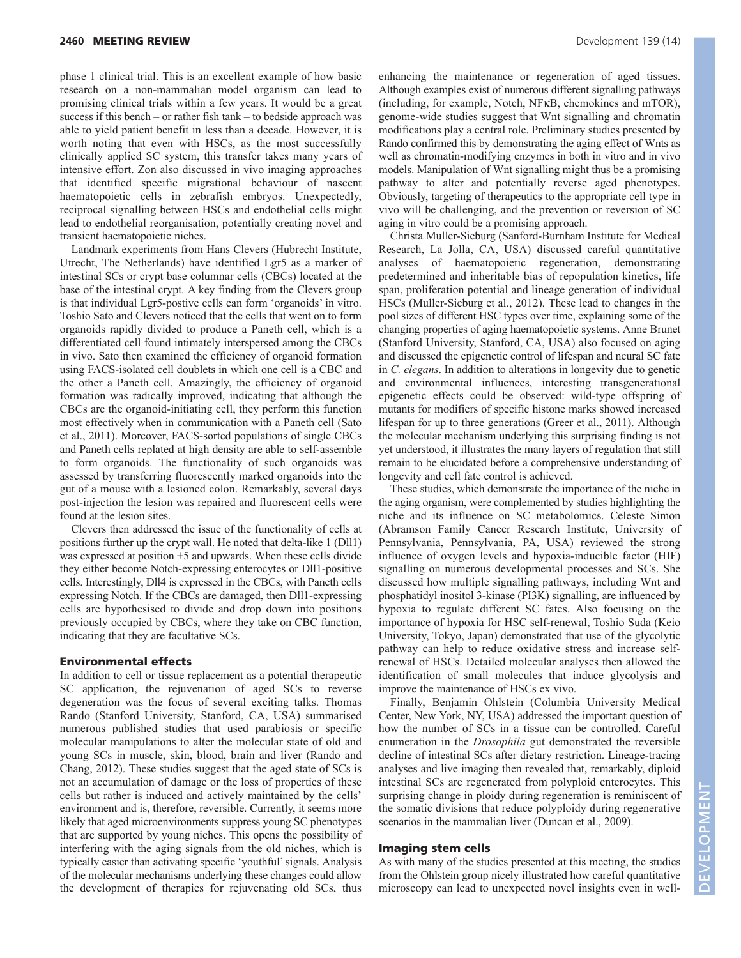phase 1 clinical trial. This is an excellent example of how basic research on a non-mammalian model organism can lead to promising clinical trials within a few years. It would be a great success if this bench – or rather fish tank – to bedside approach was able to yield patient benefit in less than a decade. However, it is worth noting that even with HSCs, as the most successfully clinically applied SC system, this transfer takes many years of intensive effort. Zon also discussed in vivo imaging approaches that identified specific migrational behaviour of nascent haematopoietic cells in zebrafish embryos. Unexpectedly, reciprocal signalling between HSCs and endothelial cells might lead to endothelial reorganisation, potentially creating novel and transient haematopoietic niches.

Landmark experiments from Hans Clevers (Hubrecht Institute, Utrecht, The Netherlands) have identified Lgr5 as a marker of intestinal SCs or crypt base columnar cells (CBCs) located at the base of the intestinal crypt. A key finding from the Clevers group is that individual Lgr5-postive cells can form 'organoids' in vitro. Toshio Sato and Clevers noticed that the cells that went on to form organoids rapidly divided to produce a Paneth cell, which is a differentiated cell found intimately interspersed among the CBCs in vivo. Sato then examined the efficiency of organoid formation using FACS-isolated cell doublets in which one cell is a CBC and the other a Paneth cell. Amazingly, the efficiency of organoid formation was radically improved, indicating that although the CBCs are the organoid-initiating cell, they perform this function most effectively when in communication with a Paneth cell (Sato et al., 2011). Moreover, FACS-sorted populations of single CBCs and Paneth cells replated at high density are able to self-assemble to form organoids. The functionality of such organoids was assessed by transferring fluorescently marked organoids into the gut of a mouse with a lesioned colon. Remarkably, several days post-injection the lesion was repaired and fluorescent cells were found at the lesion sites.

Clevers then addressed the issue of the functionality of cells at positions further up the crypt wall. He noted that delta-like 1 (Dll1) was expressed at position +5 and upwards. When these cells divide they either become Notch-expressing enterocytes or Dll1-positive cells. Interestingly, Dll4 is expressed in the CBCs, with Paneth cells expressing Notch. If the CBCs are damaged, then Dll1-expressing cells are hypothesised to divide and drop down into positions previously occupied by CBCs, where they take on CBC function, indicating that they are facultative SCs.

## **Environmental effects**

In addition to cell or tissue replacement as a potential therapeutic SC application, the rejuvenation of aged SCs to reverse degeneration was the focus of several exciting talks. Thomas Rando (Stanford University, Stanford, CA, USA) summarised numerous published studies that used parabiosis or specific molecular manipulations to alter the molecular state of old and young SCs in muscle, skin, blood, brain and liver (Rando and Chang, 2012). These studies suggest that the aged state of SCs is not an accumulation of damage or the loss of properties of these cells but rather is induced and actively maintained by the cells' environment and is, therefore, reversible. Currently, it seems more likely that aged microenvironments suppress young SC phenotypes that are supported by young niches. This opens the possibility of interfering with the aging signals from the old niches, which is typically easier than activating specific 'youthful' signals. Analysis of the molecular mechanisms underlying these changes could allow the development of therapies for rejuvenating old SCs, thus

enhancing the maintenance or regeneration of aged tissues. Although examples exist of numerous different signalling pathways (including, for example, Notch, NFKB, chemokines and mTOR), genome-wide studies suggest that Wnt signalling and chromatin modifications play a central role. Preliminary studies presented by Rando confirmed this by demonstrating the aging effect of Wnts as well as chromatin-modifying enzymes in both in vitro and in vivo models. Manipulation of Wnt signalling might thus be a promising pathway to alter and potentially reverse aged phenotypes. Obviously, targeting of therapeutics to the appropriate cell type in vivo will be challenging, and the prevention or reversion of SC aging in vitro could be a promising approach.

Christa Muller-Sieburg (Sanford-Burnham Institute for Medical Research, La Jolla, CA, USA) discussed careful quantitative analyses of haematopoietic regeneration, demonstrating predetermined and inheritable bias of repopulation kinetics, life span, proliferation potential and lineage generation of individual HSCs (Muller-Sieburg et al., 2012). These lead to changes in the pool sizes of different HSC types over time, explaining some of the changing properties of aging haematopoietic systems. Anne Brunet (Stanford University, Stanford, CA, USA) also focused on aging and discussed the epigenetic control of lifespan and neural SC fate in *C. elegans*. In addition to alterations in longevity due to genetic and environmental influences, interesting transgenerational epigenetic effects could be observed: wild-type offspring of mutants for modifiers of specific histone marks showed increased lifespan for up to three generations (Greer et al., 2011). Although the molecular mechanism underlying this surprising finding is not yet understood, it illustrates the many layers of regulation that still remain to be elucidated before a comprehensive understanding of longevity and cell fate control is achieved.

These studies, which demonstrate the importance of the niche in the aging organism, were complemented by studies highlighting the niche and its influence on SC metabolomics. Celeste Simon (Abramson Family Cancer Research Institute, University of Pennsylvania, Pennsylvania, PA, USA) reviewed the strong influence of oxygen levels and hypoxia-inducible factor (HIF) signalling on numerous developmental processes and SCs. She discussed how multiple signalling pathways, including Wnt and phosphatidyl inositol 3-kinase (PI3K) signalling, are influenced by hypoxia to regulate different SC fates. Also focusing on the importance of hypoxia for HSC self-renewal, Toshio Suda (Keio University, Tokyo, Japan) demonstrated that use of the glycolytic pathway can help to reduce oxidative stress and increase selfrenewal of HSCs. Detailed molecular analyses then allowed the identification of small molecules that induce glycolysis and improve the maintenance of HSCs ex vivo.

Finally, Benjamin Ohlstein (Columbia University Medical Center, New York, NY, USA) addressed the important question of how the number of SCs in a tissue can be controlled. Careful enumeration in the *Drosophila* gut demonstrated the reversible decline of intestinal SCs after dietary restriction. Lineage-tracing analyses and live imaging then revealed that, remarkably, diploid intestinal SCs are regenerated from polyploid enterocytes. This surprising change in ploidy during regeneration is reminiscent of the somatic divisions that reduce polyploidy during regenerative scenarios in the mammalian liver (Duncan et al., 2009).

#### **Imaging stem cells**

As with many of the studies presented at this meeting, the studies from the Ohlstein group nicely illustrated how careful quantitative microscopy can lead to unexpected novel insights even in well